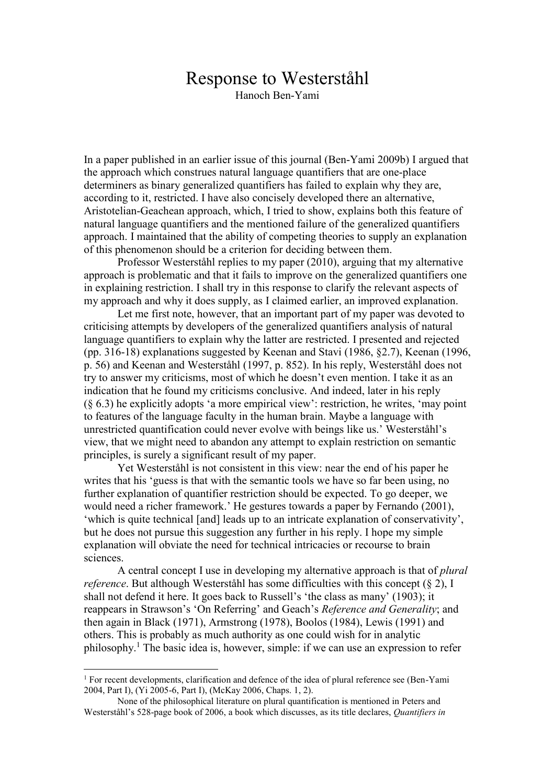## Response to Westerståhl

Hanoch Ben-Yami

In a paper published in an earlier issue of this journal (Ben-Yami 2009b) I argued that the approach which construes natural language quantifiers that are one-place determiners as binary generalized quantifiers has failed to explain why they are, according to it, restricted. I have also concisely developed there an alternative, Aristotelian-Geachean approach, which, I tried to show, explains both this feature of natural language quantifiers and the mentioned failure of the generalized quantifiers approach. I maintained that the ability of competing theories to supply an explanation of this phenomenon should be a criterion for deciding between them.

Professor Westerståhl replies to my paper (2010), arguing that my alternative approach is problematic and that it fails to improve on the generalized quantifiers one in explaining restriction. I shall try in this response to clarify the relevant aspects of my approach and why it does supply, as I claimed earlier, an improved explanation.

Let me first note, however, that an important part of my paper was devoted to criticising attempts by developers of the generalized quantifiers analysis of natural language quantifiers to explain why the latter are restricted. I presented and rejected (pp. 316-18) explanations suggested by Keenan and Stavi (1986, §2.7), Keenan (1996, p. 56) and Keenan and Westerståhl (1997, p. 852). In his reply, Westerståhl does not try to answer my criticisms, most of which he doesn't even mention. I take it as an indication that he found my criticisms conclusive. And indeed, later in his reply (§ 6.3) he explicitly adopts 'a more empirical view': restriction, he writes, 'may point to features of the language faculty in the human brain. Maybe a language with unrestricted quantification could never evolve with beings like us.' Westerståhl's view, that we might need to abandon any attempt to explain restriction on semantic principles, is surely a significant result of my paper.

Yet Westerståhl is not consistent in this view: near the end of his paper he writes that his 'guess is that with the semantic tools we have so far been using, no further explanation of quantifier restriction should be expected. To go deeper, we would need a richer framework.' He gestures towards a paper by Fernando (2001), 'which is quite technical [and] leads up to an intricate explanation of conservativity', but he does not pursue this suggestion any further in his reply. I hope my simple explanation will obviate the need for technical intricacies or recourse to brain sciences.

A central concept I use in developing my alternative approach is that of *plural reference*. But although Westerståhl has some difficulties with this concept (§ 2), I shall not defend it here. It goes back to Russell's 'the class as many' (1903); it reappears in Strawson's 'On Referring' and Geach's *Reference and Generality*; and then again in Black (1971), Armstrong (1978), Boolos (1984), Lewis (1991) and others. This is probably as much authority as one could wish for in analytic philosophy.<sup>1</sup> The basic idea is, however, simple: if we can use an expression to refer

1

 $1$  For recent developments, clarification and defence of the idea of plural reference see (Ben-Yami 2004, Part I), (Yi 2005-6, Part I), (McKay 2006, Chaps. 1, 2).

None of the philosophical literature on plural quantification is mentioned in Peters and Westerståhl's 528-page book of 2006, a book which discusses, as its title declares, *Quantifiers in*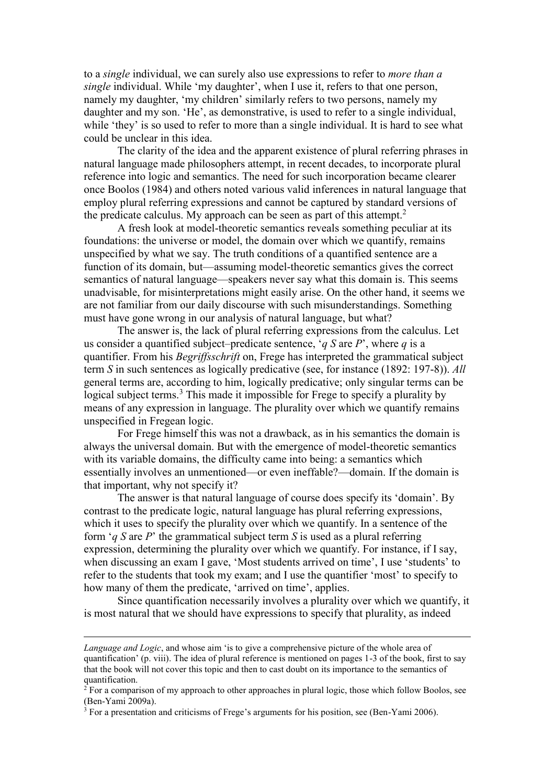to a *single* individual, we can surely also use expressions to refer to *more than a single* individual. While 'my daughter', when I use it, refers to that one person, namely my daughter, 'my children' similarly refers to two persons, namely my daughter and my son. 'He', as demonstrative, is used to refer to a single individual, while 'they' is so used to refer to more than a single individual. It is hard to see what could be unclear in this idea.

The clarity of the idea and the apparent existence of plural referring phrases in natural language made philosophers attempt, in recent decades, to incorporate plural reference into logic and semantics. The need for such incorporation became clearer once Boolos (1984) and others noted various valid inferences in natural language that employ plural referring expressions and cannot be captured by standard versions of the predicate calculus. My approach can be seen as part of this attempt.<sup>2</sup>

A fresh look at model-theoretic semantics reveals something peculiar at its foundations: the universe or model, the domain over which we quantify, remains unspecified by what we say. The truth conditions of a quantified sentence are a function of its domain, but—assuming model-theoretic semantics gives the correct semantics of natural language—speakers never say what this domain is. This seems unadvisable, for misinterpretations might easily arise. On the other hand, it seems we are not familiar from our daily discourse with such misunderstandings. Something must have gone wrong in our analysis of natural language, but what?

The answer is, the lack of plural referring expressions from the calculus. Let us consider a quantified subject–predicate sentence, '*q S* are *P*', where *q* is a quantifier. From his *Begriffsschrift* on, Frege has interpreted the grammatical subject term *S* in such sentences as logically predicative (see, for instance (1892: 197-8)). *All* general terms are, according to him, logically predicative; only singular terms can be logical subject terms.<sup>3</sup> This made it impossible for Frege to specify a plurality by means of any expression in language. The plurality over which we quantify remains unspecified in Fregean logic.

For Frege himself this was not a drawback, as in his semantics the domain is always the universal domain. But with the emergence of model-theoretic semantics with its variable domains, the difficulty came into being: a semantics which essentially involves an unmentioned—or even ineffable?—domain. If the domain is that important, why not specify it?

The answer is that natural language of course does specify its 'domain'. By contrast to the predicate logic, natural language has plural referring expressions, which it uses to specify the plurality over which we quantify. In a sentence of the form '*q S* are *P*' the grammatical subject term *S* is used as a plural referring expression, determining the plurality over which we quantify. For instance, if I say, when discussing an exam I gave, 'Most students arrived on time', I use 'students' to refer to the students that took my exam; and I use the quantifier 'most' to specify to how many of them the predicate, 'arrived on time', applies.

Since quantification necessarily involves a plurality over which we quantify, it is most natural that we should have expressions to specify that plurality, as indeed

1

*Language and Logic*, and whose aim 'is to give a comprehensive picture of the whole area of quantification' (p. viii). The idea of plural reference is mentioned on pages 1-3 of the book, first to say that the book will not cover this topic and then to cast doubt on its importance to the semantics of quantification.

 $^{2}$  For a comparison of my approach to other approaches in plural logic, those which follow Boolos, see (Ben-Yami 2009a).

 $3$  For a presentation and criticisms of Frege's arguments for his position, see (Ben-Yami 2006).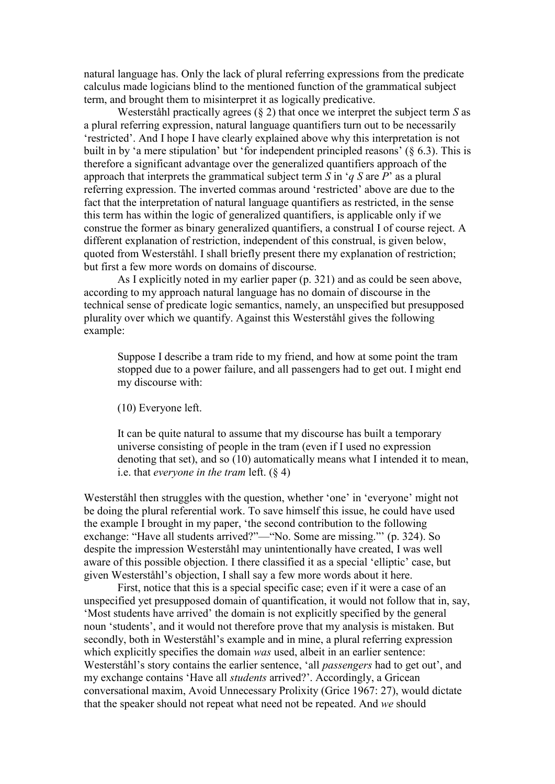natural language has. Only the lack of plural referring expressions from the predicate calculus made logicians blind to the mentioned function of the grammatical subject term, and brought them to misinterpret it as logically predicative.

Westerståhl practically agrees (§ 2) that once we interpret the subject term *S* as a plural referring expression, natural language quantifiers turn out to be necessarily 'restricted'. And I hope I have clearly explained above why this interpretation is not built in by 'a mere stipulation' but 'for independent principled reasons' (§ 6.3). This is therefore a significant advantage over the generalized quantifiers approach of the approach that interprets the grammatical subject term *S* in '*q S* are *P*' as a plural referring expression. The inverted commas around 'restricted' above are due to the fact that the interpretation of natural language quantifiers as restricted, in the sense this term has within the logic of generalized quantifiers, is applicable only if we construe the former as binary generalized quantifiers, a construal I of course reject. A different explanation of restriction, independent of this construal, is given below, quoted from Westerståhl. I shall briefly present there my explanation of restriction; but first a few more words on domains of discourse.

As I explicitly noted in my earlier paper (p. 321) and as could be seen above, according to my approach natural language has no domain of discourse in the technical sense of predicate logic semantics, namely, an unspecified but presupposed plurality over which we quantify. Against this Westerståhl gives the following example:

Suppose I describe a tram ride to my friend, and how at some point the tram stopped due to a power failure, and all passengers had to get out. I might end my discourse with:

(10) Everyone left.

It can be quite natural to assume that my discourse has built a temporary universe consisting of people in the tram (even if I used no expression denoting that set), and so (10) automatically means what I intended it to mean, i.e. that *everyone in the tram* left. (§ 4)

Westerståhl then struggles with the question, whether 'one' in 'everyone' might not be doing the plural referential work. To save himself this issue, he could have used the example I brought in my paper, 'the second contribution to the following exchange: "Have all students arrived?"—"No. Some are missing."' (p. 324). So despite the impression Westerståhl may unintentionally have created, I was well aware of this possible objection. I there classified it as a special 'elliptic' case, but given Westerståhl's objection, I shall say a few more words about it here.

First, notice that this is a special specific case; even if it were a case of an unspecified yet presupposed domain of quantification, it would not follow that in, say, 'Most students have arrived' the domain is not explicitly specified by the general noun 'students', and it would not therefore prove that my analysis is mistaken. But secondly, both in Westerståhl's example and in mine, a plural referring expression which explicitly specifies the domain *was* used, albeit in an earlier sentence: Westerståhl's story contains the earlier sentence, 'all *passengers* had to get out', and my exchange contains 'Have all *students* arrived?'. Accordingly, a Gricean conversational maxim, Avoid Unnecessary Prolixity (Grice 1967: 27), would dictate that the speaker should not repeat what need not be repeated. And *we* should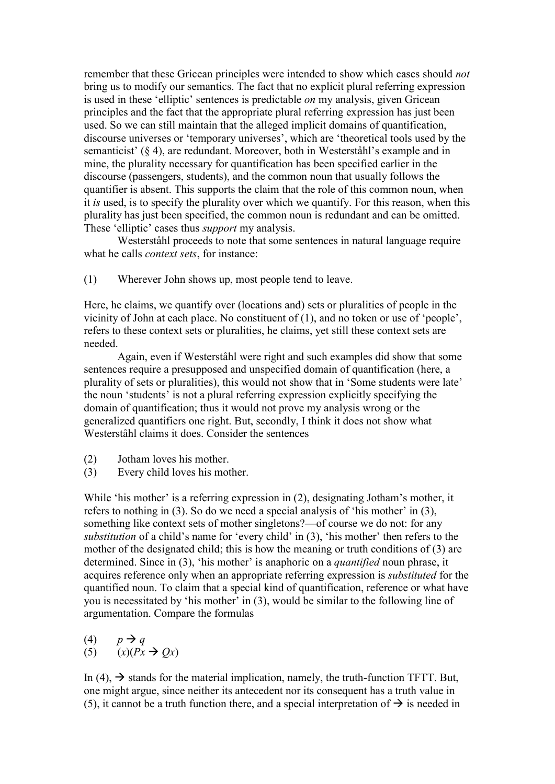remember that these Gricean principles were intended to show which cases should *not* bring us to modify our semantics. The fact that no explicit plural referring expression is used in these 'elliptic' sentences is predictable *on* my analysis, given Gricean principles and the fact that the appropriate plural referring expression has just been used. So we can still maintain that the alleged implicit domains of quantification, discourse universes or 'temporary universes', which are 'theoretical tools used by the semanticist' (§ 4), are redundant. Moreover, both in Westerståhl's example and in mine, the plurality necessary for quantification has been specified earlier in the discourse (passengers, students), and the common noun that usually follows the quantifier is absent. This supports the claim that the role of this common noun, when it *is* used, is to specify the plurality over which we quantify. For this reason, when this plurality has just been specified, the common noun is redundant and can be omitted. These 'elliptic' cases thus *support* my analysis.

Westerståhl proceeds to note that some sentences in natural language require what he calls *context sets*, for instance:

(1) Wherever John shows up, most people tend to leave.

Here, he claims, we quantify over (locations and) sets or pluralities of people in the vicinity of John at each place. No constituent of (1), and no token or use of 'people', refers to these context sets or pluralities, he claims, yet still these context sets are needed.

Again, even if Westerståhl were right and such examples did show that some sentences require a presupposed and unspecified domain of quantification (here, a plurality of sets or pluralities), this would not show that in 'Some students were late' the noun 'students' is not a plural referring expression explicitly specifying the domain of quantification; thus it would not prove my analysis wrong or the generalized quantifiers one right. But, secondly, I think it does not show what Westerståhl claims it does. Consider the sentences

- (2) Jotham loves his mother.
- (3) Every child loves his mother.

While 'his mother' is a referring expression in (2), designating Jotham's mother, it refers to nothing in (3). So do we need a special analysis of 'his mother' in (3), something like context sets of mother singletons?—of course we do not: for any *substitution* of a child's name for 'every child' in (3), 'his mother' then refers to the mother of the designated child; this is how the meaning or truth conditions of (3) are determined. Since in (3), 'his mother' is anaphoric on a *quantified* noun phrase, it acquires reference only when an appropriate referring expression is *substituted* for the quantified noun. To claim that a special kind of quantification, reference or what have you is necessitated by 'his mother' in (3), would be similar to the following line of argumentation. Compare the formulas

(4)  $p \rightarrow q$ (5)  $(x)(Px \rightarrow Qx)$ 

In (4),  $\rightarrow$  stands for the material implication, namely, the truth-function TFTT. But, one might argue, since neither its antecedent nor its consequent has a truth value in (5), it cannot be a truth function there, and a special interpretation of  $\rightarrow$  is needed in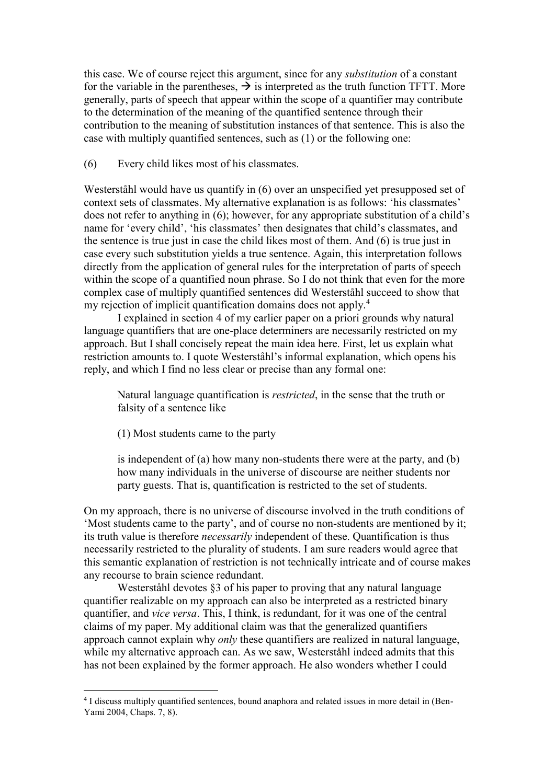this case. We of course reject this argument, since for any *substitution* of a constant for the variable in the parentheses,  $\rightarrow$  is interpreted as the truth function TFTT. More generally, parts of speech that appear within the scope of a quantifier may contribute to the determination of the meaning of the quantified sentence through their contribution to the meaning of substitution instances of that sentence. This is also the case with multiply quantified sentences, such as (1) or the following one:

(6) Every child likes most of his classmates.

Westerståhl would have us quantify in (6) over an unspecified yet presupposed set of context sets of classmates. My alternative explanation is as follows: 'his classmates' does not refer to anything in (6); however, for any appropriate substitution of a child's name for 'every child', 'his classmates' then designates that child's classmates, and the sentence is true just in case the child likes most of them. And (6) is true just in case every such substitution yields a true sentence. Again, this interpretation follows directly from the application of general rules for the interpretation of parts of speech within the scope of a quantified noun phrase. So I do not think that even for the more complex case of multiply quantified sentences did Westerståhl succeed to show that my rejection of implicit quantification domains does not apply.<sup>4</sup>

I explained in section 4 of my earlier paper on a priori grounds why natural language quantifiers that are one-place determiners are necessarily restricted on my approach. But I shall concisely repeat the main idea here. First, let us explain what restriction amounts to. I quote Westerståhl's informal explanation, which opens his reply, and which I find no less clear or precise than any formal one:

Natural language quantification is *restricted*, in the sense that the truth or falsity of a sentence like

(1) Most students came to the party

1

is independent of (a) how many non-students there were at the party, and (b) how many individuals in the universe of discourse are neither students nor party guests. That is, quantification is restricted to the set of students.

On my approach, there is no universe of discourse involved in the truth conditions of 'Most students came to the party', and of course no non-students are mentioned by it; its truth value is therefore *necessarily* independent of these. Quantification is thus necessarily restricted to the plurality of students. I am sure readers would agree that this semantic explanation of restriction is not technically intricate and of course makes any recourse to brain science redundant.

Westerståhl devotes §3 of his paper to proving that any natural language quantifier realizable on my approach can also be interpreted as a restricted binary quantifier, and *vice versa*. This, I think, is redundant, for it was one of the central claims of my paper. My additional claim was that the generalized quantifiers approach cannot explain why *only* these quantifiers are realized in natural language, while my alternative approach can. As we saw, Westerståhl indeed admits that this has not been explained by the former approach. He also wonders whether I could

<sup>4</sup> I discuss multiply quantified sentences, bound anaphora and related issues in more detail in (Ben-Yami 2004, Chaps. 7, 8).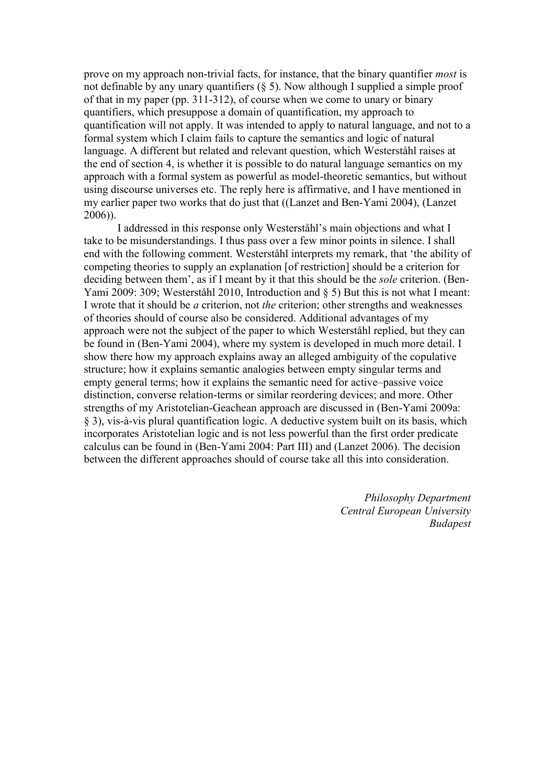prove on my approach non-trivial facts, for instance, that the binary quantifier *most* is not definable by any unary quantifiers  $(\S 5)$ . Now although I supplied a simple proof of that in my paper (pp. 311-312), of course when we come to unary or binary quantifiers, which presuppose a domain of quantification, my approach to quantification will not apply. It was intended to apply to natural language, and not to a formal system which I claim fails to capture the semantics and logic of natural language. A different but related and relevant question, which Westerståhl raises at the end of section 4, is whether it is possible to do natural language semantics on my approach with a formal system as powerful as model-theoretic semantics, but without using discourse universes etc. The reply here is affirmative, and I have mentioned in my earlier paper two works that do just that ((Lanzet and Ben-Yami 2004), (Lanzet 2006)).

I addressed in this response only Westerståhl's main objections and what I take to be misunderstandings. I thus pass over a few minor points in silence. I shall end with the following comment. Westerståhl interprets my remark, that 'the ability of competing theories to supply an explanation [of restriction] should be a criterion for deciding between them', as if I meant by it that this should be the *sole* criterion. (Ben-Yami 2009: 309; Westerståhl 2010, Introduction and § 5) But this is not what I meant: I wrote that it should be *a* criterion, not *the* criterion; other strengths and weaknesses of theories should of course also be considered. Additional advantages of my approach were not the subject of the paper to which Westerståhl replied, but they can be found in (Ben-Yami 2004), where my system is developed in much more detail. I show there how my approach explains away an alleged ambiguity of the copulative structure; how it explains semantic analogies between empty singular terms and empty general terms; how it explains the semantic need for active–passive voice distinction, converse relation-terms or similar reordering devices; and more. Other strengths of my Aristotelian-Geachean approach are discussed in (Ben-Yami 2009a: § 3), vis-à-vis plural quantification logic. A deductive system built on its basis, which incorporates Aristotelian logic and is not less powerful than the first order predicate calculus can be found in (Ben-Yami 2004: Part III) and (Lanzet 2006). The decision between the different approaches should of course take all this into consideration.

> *Philosophy Department Central European University Budapest*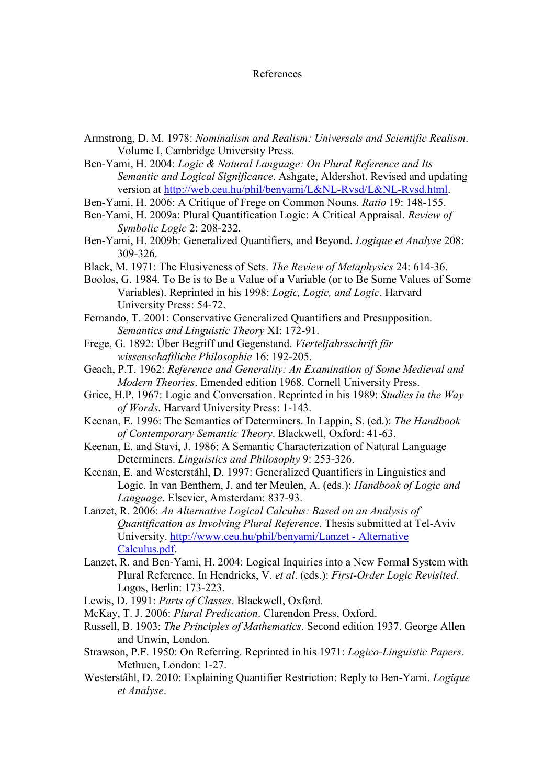## References

- Armstrong, D. M. 1978: *Nominalism and Realism: Universals and Scientific Realism*. Volume I, Cambridge University Press.
- Ben-Yami, H. 2004: *Logic & Natural Language: On Plural Reference and Its Semantic and Logical Significance*. Ashgate, Aldershot. Revised and updating version at [http://web.ceu.hu/phil/benyami/L&NL-Rvsd/L&NL-Rvsd.html.](http://web.ceu.hu/phil/benyami/L&NL-Rvsd/L&NL-Rvsd.html)
- Ben-Yami, H. 2006: A Critique of Frege on Common Nouns. *Ratio* 19: 148-155.
- Ben-Yami, H. 2009a: Plural Quantification Logic: A Critical Appraisal. *Review of Symbolic Logic* 2: 208-232.
- Ben-Yami, H. 2009b: Generalized Quantifiers, and Beyond. *Logique et Analyse* 208: 309-326.
- Black, M. 1971: The Elusiveness of Sets. *The Review of Metaphysics* 24: 614-36.
- Boolos, G. 1984. To Be is to Be a Value of a Variable (or to Be Some Values of Some Variables). Reprinted in his 1998: *Logic, Logic, and Logic*. Harvard University Press: 54-72.
- Fernando, T. 2001: Conservative Generalized Quantifiers and Presupposition. *Semantics and Linguistic Theory* XI: 172-91.
- Frege, G. 1892: Über Begriff und Gegenstand. *Vierteljahrsschrift für wissenschaftliche Philosophie* 16: 192-205.
- Geach, P.T. 1962: *Reference and Generality: An Examination of Some Medieval and Modern Theories*. Emended edition 1968. Cornell University Press.
- Grice, H.P. 1967: Logic and Conversation. Reprinted in his 1989: *Studies in the Way of Words*. Harvard University Press: 1-143.
- Keenan, E. 1996: The Semantics of Determiners. In Lappin, S. (ed.): *The Handbook of Contemporary Semantic Theory*. Blackwell, Oxford: 41-63.
- Keenan, E. and Stavi, J. 1986: A Semantic Characterization of Natural Language Determiners. *Linguistics and Philosophy* 9: 253-326.
- Keenan, E. and Westerståhl, D. 1997: Generalized Quantifiers in Linguistics and Logic. In van Benthem, J. and ter Meulen, A. (eds.): *Handbook of Logic and Language*. Elsevier, Amsterdam: 837-93.
- Lanzet, R. 2006: *An Alternative Logical Calculus: Based on an Analysis of Quantification as Involving Plural Reference*. Thesis submitted at Tel-Aviv University. [http://www.ceu.hu/phil/benyami/Lanzet -](http://www.ceu.hu/phil/benyami/Lanzet%20-%20Alternative%20Calculus.pdf) Alternative [Calculus.pdf.](http://www.ceu.hu/phil/benyami/Lanzet%20-%20Alternative%20Calculus.pdf)
- Lanzet, R. and Ben-Yami, H. 2004: Logical Inquiries into a New Formal System with Plural Reference. In Hendricks, V. *et al*. (eds.): *First-Order Logic Revisited*. Logos, Berlin: 173-223.
- Lewis, D. 1991: *Parts of Classes*. Blackwell, Oxford.
- McKay, T. J. 2006: *Plural Predication*. Clarendon Press, Oxford.
- Russell, B. 1903: *The Principles of Mathematics*. Second edition 1937. George Allen and Unwin, London.
- Strawson, P.F. 1950: On Referring. Reprinted in his 1971: *Logico-Linguistic Papers*. Methuen, London: 1-27.
- Westerståhl, D. 2010: Explaining Quantifier Restriction: Reply to Ben-Yami. *Logique et Analyse*.